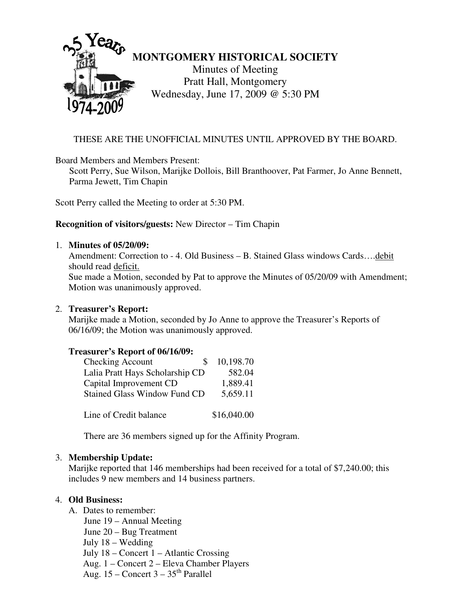

## THESE ARE THE UNOFFICIAL MINUTES UNTIL APPROVED BY THE BOARD.

Board Members and Members Present:

Scott Perry, Sue Wilson, Marijke Dollois, Bill Branthoover, Pat Farmer, Jo Anne Bennett, Parma Jewett, Tim Chapin

Scott Perry called the Meeting to order at 5:30 PM.

### **Recognition of visitors/guests:** New Director – Tim Chapin

#### 1. **Minutes of 05/20/09:**

Amendment: Correction to - 4. Old Business – B. Stained Glass windows Cards….debit should read deficit. Sue made a Motion, seconded by Pat to approve the Minutes of 05/20/09 with Amendment; Motion was unanimously approved.

#### 2. **Treasurer's Report:**

Marijke made a Motion, seconded by Jo Anne to approve the Treasurer's Reports of 06/16/09; the Motion was unanimously approved.

### **Treasurer's Report of 06/16/09:**

| Checking Account                    | 10,198.70   |
|-------------------------------------|-------------|
| Lalia Pratt Hays Scholarship CD     | 582.04      |
| Capital Improvement CD              | 1,889.41    |
| <b>Stained Glass Window Fund CD</b> | 5,659.11    |
|                                     |             |
| Line of Credit balance              | \$16,040.00 |

There are 36 members signed up for the Affinity Program.

### 3. **Membership Update:**

Marijke reported that 146 memberships had been received for a total of \$7,240.00; this includes 9 new members and 14 business partners.

### 4. **Old Business:**

- A. Dates to remember: June 19 – Annual Meeting
	-
	- June 20 Bug Treatment July 18 – Wedding

July 18 – Concert 1 – Atlantic Crossing

- Aug. 1 Concert 2 Eleva Chamber Players
- Aug.  $15$  Concert  $3 35$ <sup>th</sup> Parallel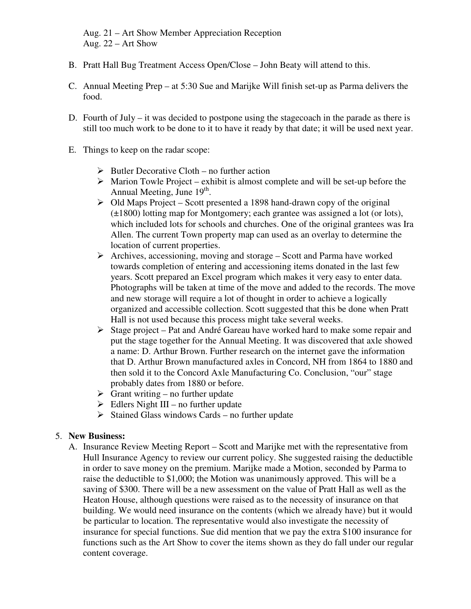Aug. 21 – Art Show Member Appreciation Reception Aug. 22 – Art Show

- B. Pratt Hall Bug Treatment Access Open/Close John Beaty will attend to this.
- C. Annual Meeting Prep at 5:30 Sue and Marijke Will finish set-up as Parma delivers the food.
- D. Fourth of July it was decided to postpone using the stagecoach in the parade as there is still too much work to be done to it to have it ready by that date; it will be used next year.
- E. Things to keep on the radar scope:
	- $\triangleright$  Butler Decorative Cloth no further action
	- $\triangleright$  Marion Towle Project exhibit is almost complete and will be set-up before the Annual Meeting, June 19<sup>th</sup>.
	- $\triangleright$  Old Maps Project Scott presented a 1898 hand-drawn copy of the original (±1800) lotting map for Montgomery; each grantee was assigned a lot (or lots), which included lots for schools and churches. One of the original grantees was Ira Allen. The current Town property map can used as an overlay to determine the location of current properties.
	- $\triangleright$  Archives, accessioning, moving and storage Scott and Parma have worked towards completion of entering and accessioning items donated in the last few years. Scott prepared an Excel program which makes it very easy to enter data. Photographs will be taken at time of the move and added to the records. The move and new storage will require a lot of thought in order to achieve a logically organized and accessible collection. Scott suggested that this be done when Pratt Hall is not used because this process might take several weeks.
	- $\triangleright$  Stage project Pat and André Gareau have worked hard to make some repair and put the stage together for the Annual Meeting. It was discovered that axle showed a name: D. Arthur Brown. Further research on the internet gave the information that D. Arthur Brown manufactured axles in Concord, NH from 1864 to 1880 and then sold it to the Concord Axle Manufacturing Co. Conclusion, "our" stage probably dates from 1880 or before.
	- $\triangleright$  Grant writing no further update
	- $\triangleright$  Edlers Night III no further update
	- $\triangleright$  Stained Glass windows Cards no further update

# 5. **New Business:**

A. Insurance Review Meeting Report – Scott and Marijke met with the representative from Hull Insurance Agency to review our current policy. She suggested raising the deductible in order to save money on the premium. Marijke made a Motion, seconded by Parma to raise the deductible to \$1,000; the Motion was unanimously approved. This will be a saving of \$300. There will be a new assessment on the value of Pratt Hall as well as the Heaton House, although questions were raised as to the necessity of insurance on that building. We would need insurance on the contents (which we already have) but it would be particular to location. The representative would also investigate the necessity of insurance for special functions. Sue did mention that we pay the extra \$100 insurance for functions such as the Art Show to cover the items shown as they do fall under our regular content coverage.